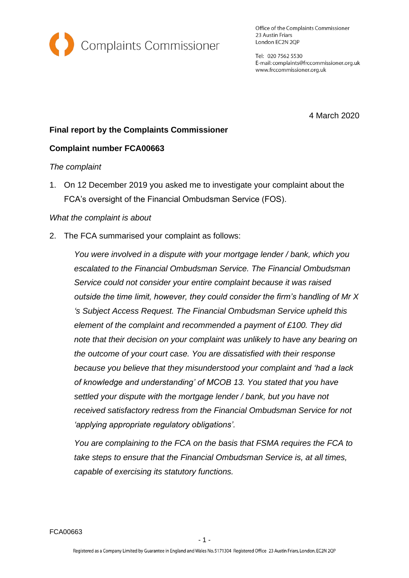

Office of the Complaints Commissioner 23 Austin Friars London EC2N 2QP

Tel: 020 7562 5530 E-mail: complaints@frccommissioner.org.uk www.frccommissioner.org.uk

4 March 2020

# **Final report by the Complaints Commissioner**

#### **Complaint number FCA00663**

#### *The complaint*

1. On 12 December 2019 you asked me to investigate your complaint about the FCA's oversight of the Financial Ombudsman Service (FOS).

#### *What the complaint is about*

2. The FCA summarised your complaint as follows:

*You were involved in a dispute with your mortgage lender / bank, which you escalated to the Financial Ombudsman Service. The Financial Ombudsman Service could not consider your entire complaint because it was raised outside the time limit, however, they could consider the firm's handling of Mr X 's Subject Access Request. The Financial Ombudsman Service upheld this element of the complaint and recommended a payment of £100. They did note that their decision on your complaint was unlikely to have any bearing on the outcome of your court case. You are dissatisfied with their response because you believe that they misunderstood your complaint and 'had a lack of knowledge and understanding' of MCOB 13. You stated that you have settled your dispute with the mortgage lender / bank, but you have not received satisfactory redress from the Financial Ombudsman Service for not 'applying appropriate regulatory obligations'.*

*You are complaining to the FCA on the basis that FSMA requires the FCA to take steps to ensure that the Financial Ombudsman Service is, at all times, capable of exercising its statutory functions.*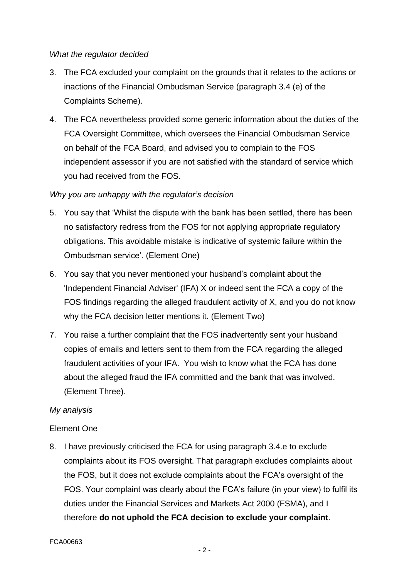#### *What the regulator decided*

- 3. The FCA excluded your complaint on the grounds that it relates to the actions or inactions of the Financial Ombudsman Service (paragraph 3.4 (e) of the Complaints Scheme).
- 4. The FCA nevertheless provided some generic information about the duties of the FCA Oversight Committee, which oversees the Financial Ombudsman Service on behalf of the FCA Board, and advised you to complain to the FOS independent assessor if you are not satisfied with the standard of service which you had received from the FOS.

# *Why you are unhappy with the regulator's decision*

- 5. You say that 'Whilst the dispute with the bank has been settled, there has been no satisfactory redress from the FOS for not applying appropriate regulatory obligations. This avoidable mistake is indicative of systemic failure within the Ombudsman service'. (Element One)
- 6. You say that you never mentioned your husband's complaint about the 'Independent Financial Adviser' (IFA) X or indeed sent the FCA a copy of the FOS findings regarding the alleged fraudulent activity of X, and you do not know why the FCA decision letter mentions it. (Element Two)
- 7. You raise a further complaint that the FOS inadvertently sent your husband copies of emails and letters sent to them from the FCA regarding the alleged fraudulent activities of your IFA. You wish to know what the FCA has done about the alleged fraud the IFA committed and the bank that was involved. (Element Three).

# *My analysis*

# Element One

8. I have previously criticised the FCA for using paragraph 3.4.e to exclude complaints about its FOS oversight. That paragraph excludes complaints about the FOS, but it does not exclude complaints about the FCA's oversight of the FOS. Your complaint was clearly about the FCA's failure (in your view) to fulfil its duties under the Financial Services and Markets Act 2000 (FSMA), and I therefore **do not uphold the FCA decision to exclude your complaint**.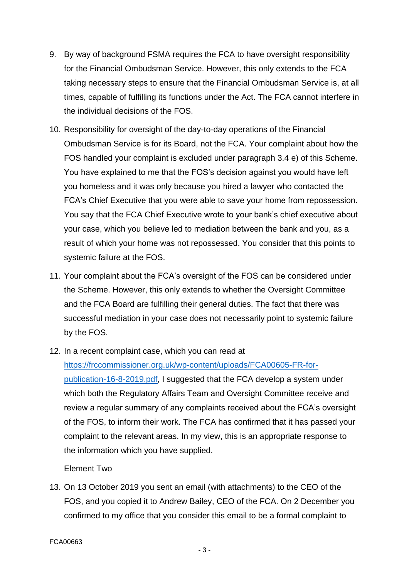- 9. By way of background FSMA requires the FCA to have oversight responsibility for the Financial Ombudsman Service. However, this only extends to the FCA taking necessary steps to ensure that the Financial Ombudsman Service is, at all times, capable of fulfilling its functions under the Act. The FCA cannot interfere in the individual decisions of the FOS.
- 10. Responsibility for oversight of the day-to-day operations of the Financial Ombudsman Service is for its Board, not the FCA. Your complaint about how the FOS handled your complaint is excluded under paragraph 3.4 e) of this Scheme. You have explained to me that the FOS's decision against you would have left you homeless and it was only because you hired a lawyer who contacted the FCA's Chief Executive that you were able to save your home from repossession. You say that the FCA Chief Executive wrote to your bank's chief executive about your case, which you believe led to mediation between the bank and you, as a result of which your home was not repossessed. You consider that this points to systemic failure at the FOS.
- 11. Your complaint about the FCA's oversight of the FOS can be considered under the Scheme. However, this only extends to whether the Oversight Committee and the FCA Board are fulfilling their general duties. The fact that there was successful mediation in your case does not necessarily point to systemic failure by the FOS.
- 12. In a recent complaint case, which you can read at

[https://frccommissioner.org.uk/wp-content/uploads/FCA00605-FR-for](https://frccommissioner.org.uk/wp-content/uploads/FCA00605-FR-for-publication-16-8-2019.pdf)[publication-16-8-2019.pdf,](https://frccommissioner.org.uk/wp-content/uploads/FCA00605-FR-for-publication-16-8-2019.pdf) I suggested that the FCA develop a system under which both the Regulatory Affairs Team and Oversight Committee receive and review a regular summary of any complaints received about the FCA's oversight of the FOS, to inform their work. The FCA has confirmed that it has passed your complaint to the relevant areas. In my view, this is an appropriate response to the information which you have supplied.

# Element Two

13. On 13 October 2019 you sent an email (with attachments) to the CEO of the FOS, and you copied it to Andrew Bailey, CEO of the FCA. On 2 December you confirmed to my office that you consider this email to be a formal complaint to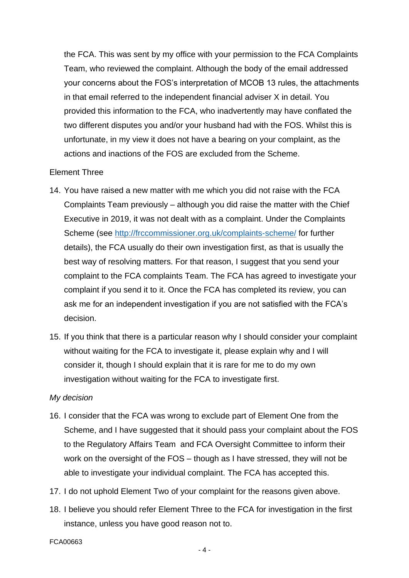the FCA. This was sent by my office with your permission to the FCA Complaints Team, who reviewed the complaint. Although the body of the email addressed your concerns about the FOS's interpretation of MCOB 13 rules, the attachments in that email referred to the independent financial adviser X in detail. You provided this information to the FCA, who inadvertently may have conflated the two different disputes you and/or your husband had with the FOS. Whilst this is unfortunate, in my view it does not have a bearing on your complaint, as the actions and inactions of the FOS are excluded from the Scheme.

#### Element Three

- 14. You have raised a new matter with me which you did not raise with the FCA Complaints Team previously – although you did raise the matter with the Chief Executive in 2019, it was not dealt with as a complaint. Under the Complaints Scheme (see<http://frccommissioner.org.uk/complaints-scheme/> for further details), the FCA usually do their own investigation first, as that is usually the best way of resolving matters. For that reason, I suggest that you send your complaint to the FCA complaints Team. The FCA has agreed to investigate your complaint if you send it to it. Once the FCA has completed its review, you can ask me for an independent investigation if you are not satisfied with the FCA's decision.
- 15. If you think that there is a particular reason why I should consider your complaint without waiting for the FCA to investigate it, please explain why and I will consider it, though I should explain that it is rare for me to do my own investigation without waiting for the FCA to investigate first.

# *My decision*

- 16. I consider that the FCA was wrong to exclude part of Element One from the Scheme, and I have suggested that it should pass your complaint about the FOS to the Regulatory Affairs Team and FCA Oversight Committee to inform their work on the oversight of the FOS – though as I have stressed, they will not be able to investigate your individual complaint. The FCA has accepted this.
- 17. I do not uphold Element Two of your complaint for the reasons given above.
- 18. I believe you should refer Element Three to the FCA for investigation in the first instance, unless you have good reason not to.
- FCA00663